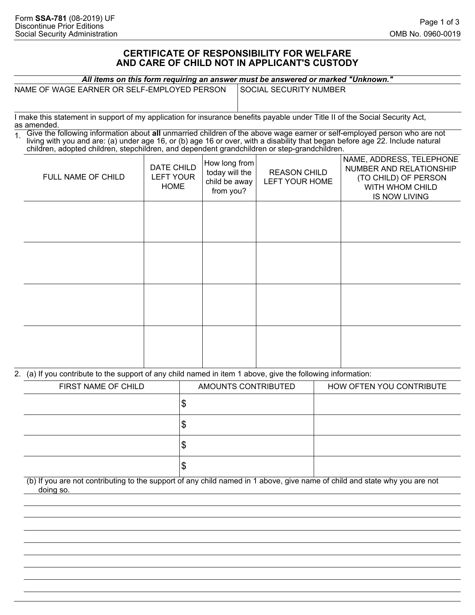## **CERTIFICATE OF RESPONSIBILITY FOR WELFARE AND CARE OF CHILD NOT IN APPLICANT'S CUSTODY**

| All items on this form requiring an answer must be answered or marked "Unknown." |  |  |
|----------------------------------------------------------------------------------|--|--|
|                                                                                  |  |  |

| NAME OF WAGE EARNER OR SELF-EMPLOYED PERSON |  |
|---------------------------------------------|--|
|                                             |  |

SOCIAL SECURITY NUMBER

I make this statement in support of my application for insurance benefits payable under Title II of the Social Security Act, as amended.

1. Give the following information about **all** unmarried children of the above wage earner or self-employed person who are not living with you and are: (a) under age 16, or (b) age 16 or over, with a disability that began before age 22. Include natural children, adopted children, stepchildren, and dependent grandchildren or step-grandchildren.

| FULL NAME OF CHILD | DATE CHILD<br><b>LEFT YOUR</b><br><b>HOME</b> | $ $ How long from $ $<br>today will the<br>child be away<br>from you? | <b>REASON CHILD</b><br>LEFT YOUR HOME | NAME, ADDRESS, TELEPHONE<br>NUMBER AND RELATIONSHIP<br>(TO CHILD) OF PERSON<br>WITH WHOM CHILD<br><b>IS NOW LIVING</b> |
|--------------------|-----------------------------------------------|-----------------------------------------------------------------------|---------------------------------------|------------------------------------------------------------------------------------------------------------------------|
|                    |                                               |                                                                       |                                       |                                                                                                                        |
|                    |                                               |                                                                       |                                       |                                                                                                                        |
|                    |                                               |                                                                       |                                       |                                                                                                                        |
|                    |                                               |                                                                       |                                       |                                                                                                                        |

2. (a) If you contribute to the support of any child named in item 1 above, give the following information:

| FIRST NAME OF CHILD | AMOUNTS CONTRIBUTED | HOW OFTEN YOU CONTRIBUTE |
|---------------------|---------------------|--------------------------|
|                     | ۰D                  |                          |
|                     | ง                   |                          |
|                     | Φ                   |                          |
|                     | w                   |                          |

(b) If you are not contributing to the support of any child named in 1 above, give name of child and state why you are not doing so.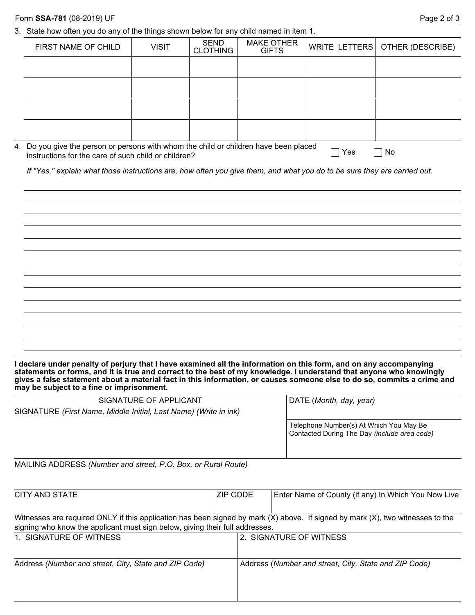|  |  |  | 3. State how often you do any of the things shown below for any child named in item 1. |
|--|--|--|----------------------------------------------------------------------------------------|
|  |  |  |                                                                                        |

| FIRST NAME OF CHILD                                                                                                                           | <b>VISIT</b> | <b>SEND</b><br><b>CLOTHING</b> | <b>MAKE OTHER</b><br><b>GIFTS</b> | WRITE LETTERS | OTHER (DESCRIBE) |
|-----------------------------------------------------------------------------------------------------------------------------------------------|--------------|--------------------------------|-----------------------------------|---------------|------------------|
|                                                                                                                                               |              |                                |                                   |               |                  |
|                                                                                                                                               |              |                                |                                   |               |                  |
|                                                                                                                                               |              |                                |                                   |               |                  |
|                                                                                                                                               |              |                                |                                   |               |                  |
| 4. Do you give the person or persons with whom the child or children have been placed<br>instructions for the care of such child or children? |              |                                |                                   | Yes           | No               |
|                                                                                                                                               |              |                                |                                   |               |                  |
| If "Yes," explain what those instructions are, how often you give them, and what you do to be sure they are carried out.                      |              |                                |                                   |               |                  |
|                                                                                                                                               |              |                                |                                   |               |                  |
|                                                                                                                                               |              |                                |                                   |               |                  |
|                                                                                                                                               |              |                                |                                   |               |                  |
|                                                                                                                                               |              |                                |                                   |               |                  |
|                                                                                                                                               |              |                                |                                   |               |                  |
|                                                                                                                                               |              |                                |                                   |               |                  |
|                                                                                                                                               |              |                                |                                   |               |                  |
|                                                                                                                                               |              |                                |                                   |               |                  |
|                                                                                                                                               |              |                                |                                   |               |                  |

**I declare under penalty of perjury that I have examined all the information on this form, and on any accompanying statements or forms, and it is true and correct to the best of my knowledge. I understand that anyone who knowingly gives a false statement about a material fact in this information, or causes someone else to do so, commits a crime and may be subject to a fine or imprisonment.**

| SIGNATURE OF APPLICANT                                           | DATE (Month, day, year)                                                                 |
|------------------------------------------------------------------|-----------------------------------------------------------------------------------------|
| SIGNATURE (First Name, Middle Initial, Last Name) (Write in ink) |                                                                                         |
|                                                                  | Telephone Number(s) At Which You May Be<br>Contacted During The Day (include area code) |

MAILING ADDRESS *(Number and street, P.O. Box, or Rural Route)*

| ZIP CODE | Enter Name of County (if any) In Which You Now Live                                                                            |
|----------|--------------------------------------------------------------------------------------------------------------------------------|
|          |                                                                                                                                |
|          | Witnesses are required ONLY if this application has been signed by mark (X) above. If signed by mark (X), two witnesses to the |
|          | 2. SIGNATURE OF WITNESS                                                                                                        |
|          | Address (Number and street, City, State and ZIP Code)                                                                          |
|          | signing who know the applicant must sign below, giving their full addresses.                                                   |